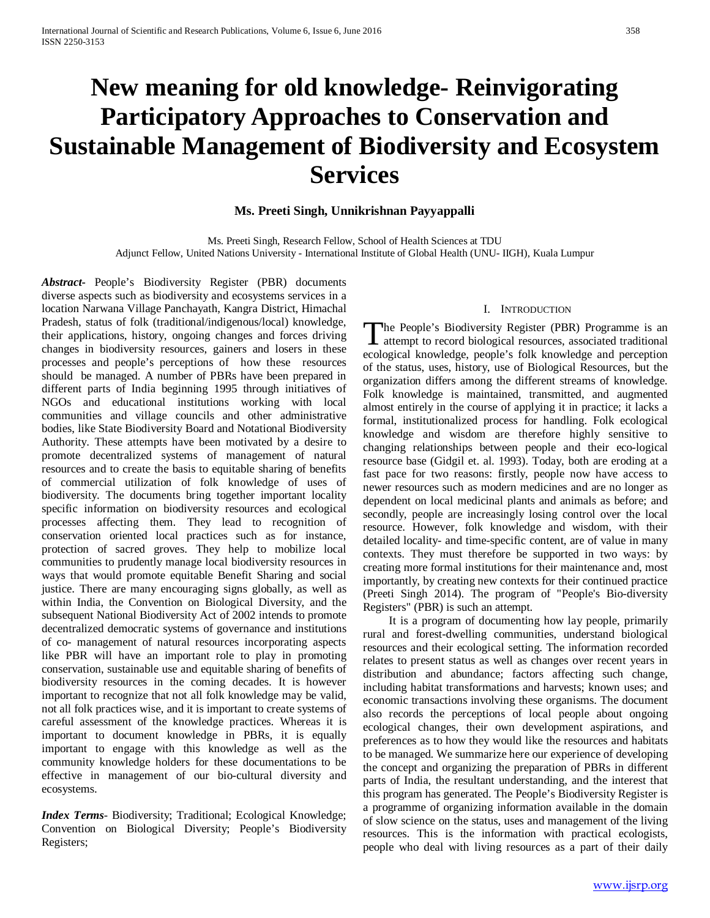# **New meaning for old knowledge- Reinvigorating Participatory Approaches to Conservation and Sustainable Management of Biodiversity and Ecosystem Services**

# **Ms. Preeti Singh, Unnikrishnan Payyappalli**

Ms. Preeti Singh, Research Fellow, School of Health Sciences at TDU Adjunct Fellow, United Nations University - International Institute of Global Health (UNU- IIGH), Kuala Lumpur

*Abstract***-** People's Biodiversity Register (PBR) documents diverse aspects such as biodiversity and ecosystems services in a location Narwana Village Panchayath, Kangra District, Himachal Pradesh, status of folk (traditional/indigenous/local) knowledge, their applications, history, ongoing changes and forces driving changes in biodiversity resources, gainers and losers in these processes and people's perceptions of how these resources should be managed. A number of PBRs have been prepared in different parts of India beginning 1995 through initiatives of NGOs and educational institutions working with local communities and village councils and other administrative bodies, like State Biodiversity Board and Notational Biodiversity Authority. These attempts have been motivated by a desire to promote decentralized systems of management of natural resources and to create the basis to equitable sharing of benefits of commercial utilization of folk knowledge of uses of biodiversity. The documents bring together important locality specific information on biodiversity resources and ecological processes affecting them. They lead to recognition of conservation oriented local practices such as for instance, protection of sacred groves. They help to mobilize local communities to prudently manage local biodiversity resources in ways that would promote equitable Benefit Sharing and social justice. There are many encouraging signs globally, as well as within India, the Convention on Biological Diversity, and the subsequent National Biodiversity Act of 2002 intends to promote decentralized democratic systems of governance and institutions of co- management of natural resources incorporating aspects like PBR will have an important role to play in promoting conservation, sustainable use and equitable sharing of benefits of biodiversity resources in the coming decades. It is however important to recognize that not all folk knowledge may be valid, not all folk practices wise, and it is important to create systems of careful assessment of the knowledge practices. Whereas it is important to document knowledge in PBRs, it is equally important to engage with this knowledge as well as the community knowledge holders for these documentations to be effective in management of our bio-cultural diversity and ecosystems.

*Index Terms*- Biodiversity; Traditional; Ecological Knowledge; Convention on Biological Diversity; People's Biodiversity Registers;

## I. INTRODUCTION

The People's Biodiversity Register (PBR) Programme is an attempt to record biological resources, associated traditional I attempt to record biological resources, associated traditional ecological knowledge, people's folk knowledge and perception of the status, uses, history, use of Biological Resources, but the organization differs among the different streams of knowledge. Folk knowledge is maintained, transmitted, and augmented almost entirely in the course of applying it in practice; it lacks a formal, institutionalized process for handling. Folk ecological knowledge and wisdom are therefore highly sensitive to changing relationships between people and their eco-logical resource base (Gidgil et. al. 1993). Today, both are eroding at a fast pace for two reasons: firstly, people now have access to newer resources such as modern medicines and are no longer as dependent on local medicinal plants and animals as before; and secondly, people are increasingly losing control over the local resource. However, folk knowledge and wisdom, with their detailed locality- and time-specific content, are of value in many contexts. They must therefore be supported in two ways: by creating more formal institutions for their maintenance and, most importantly, by creating new contexts for their continued practice (Preeti Singh 2014). The program of "People's Bio-diversity Registers" (PBR) is such an attempt.

 It is a program of documenting how lay people, primarily rural and forest-dwelling communities, understand biological resources and their ecological setting. The information recorded relates to present status as well as changes over recent years in distribution and abundance; factors affecting such change, including habitat transformations and harvests; known uses; and economic transactions involving these organisms. The document also records the perceptions of local people about ongoing ecological changes, their own development aspirations, and preferences as to how they would like the resources and habitats to be managed. We summarize here our experience of developing the concept and organizing the preparation of PBRs in different parts of India, the resultant understanding, and the interest that this program has generated. The People's Biodiversity Register is a programme of organizing information available in the domain of slow science on the status, uses and management of the living resources. This is the information with practical ecologists, people who deal with living resources as a part of their daily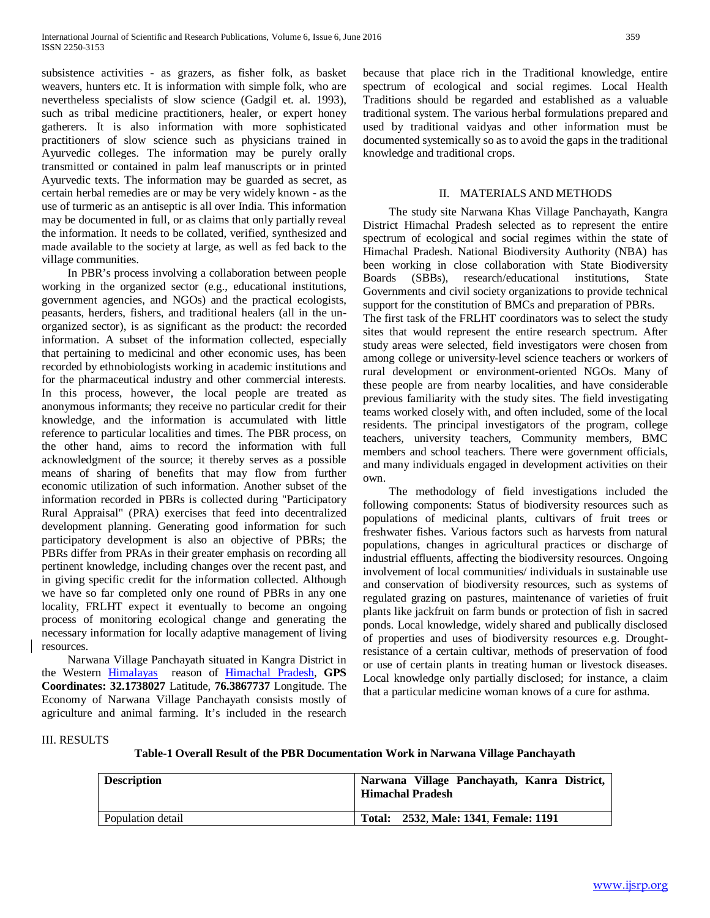subsistence activities - as grazers, as fisher folk, as basket weavers, hunters etc. It is information with simple folk, who are nevertheless specialists of slow science (Gadgil et. al. 1993), such as tribal medicine practitioners, healer, or expert honey gatherers. It is also information with more sophisticated practitioners of slow science such as physicians trained in Ayurvedic colleges. The information may be purely orally transmitted or contained in palm leaf manuscripts or in printed Ayurvedic texts. The information may be guarded as secret, as certain herbal remedies are or may be very widely known - as the use of turmeric as an antiseptic is all over India. This information may be documented in full, or as claims that only partially reveal the information. It needs to be collated, verified, synthesized and made available to the society at large, as well as fed back to the village communities.

 In PBR's process involving a collaboration between people working in the organized sector (e.g., educational institutions, government agencies, and NGOs) and the practical ecologists, peasants, herders, fishers, and traditional healers (all in the unorganized sector), is as significant as the product: the recorded information. A subset of the information collected, especially that pertaining to medicinal and other economic uses, has been recorded by ethnobiologists working in academic institutions and for the pharmaceutical industry and other commercial interests. In this process, however, the local people are treated as anonymous informants; they receive no particular credit for their knowledge, and the information is accumulated with little reference to particular localities and times. The PBR process, on the other hand, aims to record the information with full acknowledgment of the source; it thereby serves as a possible means of sharing of benefits that may flow from further economic utilization of such information. Another subset of the information recorded in PBRs is collected during "Participatory Rural Appraisal" (PRA) exercises that feed into decentralized development planning. Generating good information for such participatory development is also an objective of PBRs; the PBRs differ from PRAs in their greater emphasis on recording all pertinent knowledge, including changes over the recent past, and in giving specific credit for the information collected. Although we have so far completed only one round of PBRs in any one locality, FRLHT expect it eventually to become an ongoing process of monitoring ecological change and generating the necessary information for locally adaptive management of living resources.

 Narwana Village Panchayath situated in Kangra District in the Western [Himalayas](https://en.wikipedia.org/wiki/Himalayas) reason of [Himachal Pradesh,](https://en.wikipedia.org/wiki/Himachal_Pradesh) **GPS Coordinates: 32.1738027** Latitude, **76.3867737** Longitude. The Economy of Narwana Village Panchayath consists mostly of agriculture and animal farming. It's included in the research because that place rich in the Traditional knowledge, entire spectrum of ecological and social regimes. Local Health Traditions should be regarded and established as a valuable traditional system. The various herbal formulations prepared and used by traditional vaidyas and other information must be documented systemically so as to avoid the gaps in the traditional knowledge and traditional crops.

# II. MATERIALS AND METHODS

 The study site Narwana Khas Village Panchayath, Kangra District Himachal Pradesh selected as to represent the entire spectrum of ecological and social regimes within the state of Himachal Pradesh. National Biodiversity Authority (NBA) has been working in close collaboration with State Biodiversity Boards (SBBs), research/educational institutions, State Governments and civil society organizations to provide technical support for the constitution of BMCs and preparation of PBRs. The first task of the FRLHT coordinators was to select the study sites that would represent the entire research spectrum. After study areas were selected, field investigators were chosen from among college or university-level science teachers or workers of rural development or environment-oriented NGOs. Many of these people are from nearby localities, and have considerable previous familiarity with the study sites. The field investigating teams worked closely with, and often included, some of the local residents. The principal investigators of the program, college teachers, university teachers, Community members, BMC members and school teachers. There were government officials, and many individuals engaged in development activities on their own.

 The methodology of field investigations included the following components: Status of biodiversity resources such as populations of medicinal plants, cultivars of fruit trees or freshwater fishes. Various factors such as harvests from natural populations, changes in agricultural practices or discharge of industrial effluents, affecting the biodiversity resources. Ongoing involvement of local communities/ individuals in sustainable use and conservation of biodiversity resources, such as systems of regulated grazing on pastures, maintenance of varieties of fruit plants like jackfruit on farm bunds or protection of fish in sacred ponds. Local knowledge, widely shared and publically disclosed of properties and uses of biodiversity resources e.g. Droughtresistance of a certain cultivar, methods of preservation of food or use of certain plants in treating human or livestock diseases. Local knowledge only partially disclosed; for instance, a claim that a particular medicine woman knows of a cure for asthma.

### III. RESULTS

**Table-1 Overall Result of the PBR Documentation Work in Narwana Village Panchayath**

| <b>Description</b> | Narwana Village Panchayath, Kanra District,<br><b>Himachal Pradesh</b> |
|--------------------|------------------------------------------------------------------------|
| Population detail  | Total: 2532, Male: 1341, Female: 1191                                  |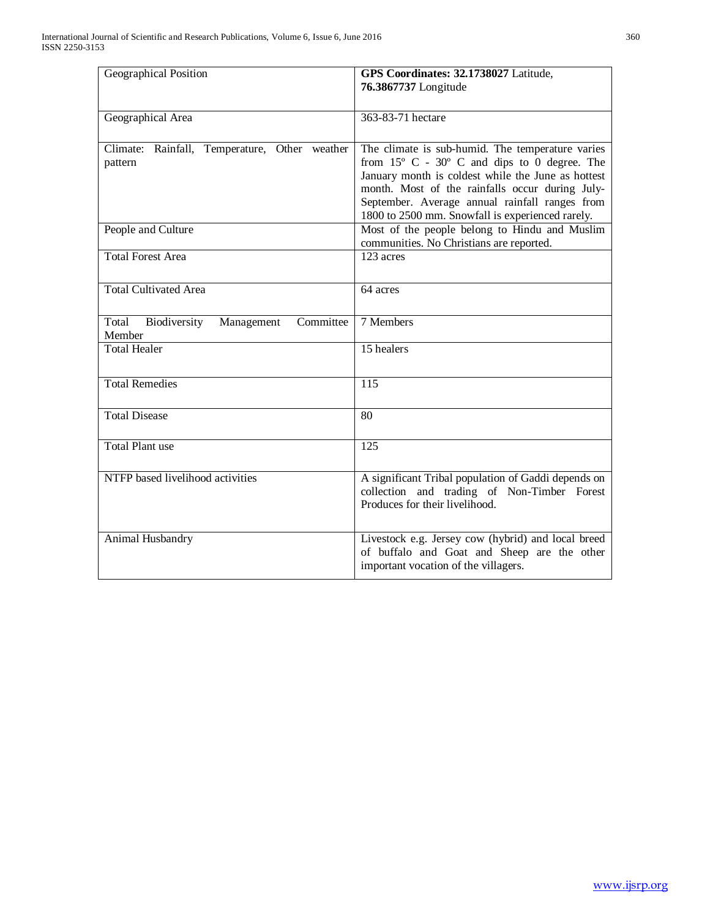| Geographical Position                                          | GPS Coordinates: 32.1738027 Latitude,                                                                                                                                    |
|----------------------------------------------------------------|--------------------------------------------------------------------------------------------------------------------------------------------------------------------------|
|                                                                | 76.3867737 Longitude                                                                                                                                                     |
|                                                                |                                                                                                                                                                          |
| Geographical Area                                              | 363-83-71 hectare                                                                                                                                                        |
| Climate:<br>Rainfall,<br>Temperature, Other weather<br>pattern | The climate is sub-humid. The temperature varies<br>from $15^{\circ}$ C - $30^{\circ}$ C and dips to 0 degree. The<br>January month is coldest while the June as hottest |
|                                                                | month. Most of the rainfalls occur during July-<br>September. Average annual rainfall ranges from<br>1800 to 2500 mm. Snowfall is experienced rarely.                    |
| People and Culture                                             | Most of the people belong to Hindu and Muslim<br>communities. No Christians are reported.                                                                                |
| <b>Total Forest Area</b>                                       | 123 acres                                                                                                                                                                |
| Total Cultivated Area                                          | 64 acres                                                                                                                                                                 |
| Committee<br>Total<br>Biodiversity<br>Management<br>Member     | 7 Members                                                                                                                                                                |
| <b>Total Healer</b>                                            | 15 healers                                                                                                                                                               |
| <b>Total Remedies</b>                                          | 115                                                                                                                                                                      |
| <b>Total Disease</b>                                           | $\overline{80}$                                                                                                                                                          |
| <b>Total Plant use</b>                                         | 125                                                                                                                                                                      |
| NTFP based livelihood activities                               | A significant Tribal population of Gaddi depends on<br>collection and trading of Non-Timber Forest<br>Produces for their livelihood.                                     |
| Animal Husbandry                                               | Livestock e.g. Jersey cow (hybrid) and local breed<br>of buffalo and Goat and Sheep are the other<br>important vocation of the villagers.                                |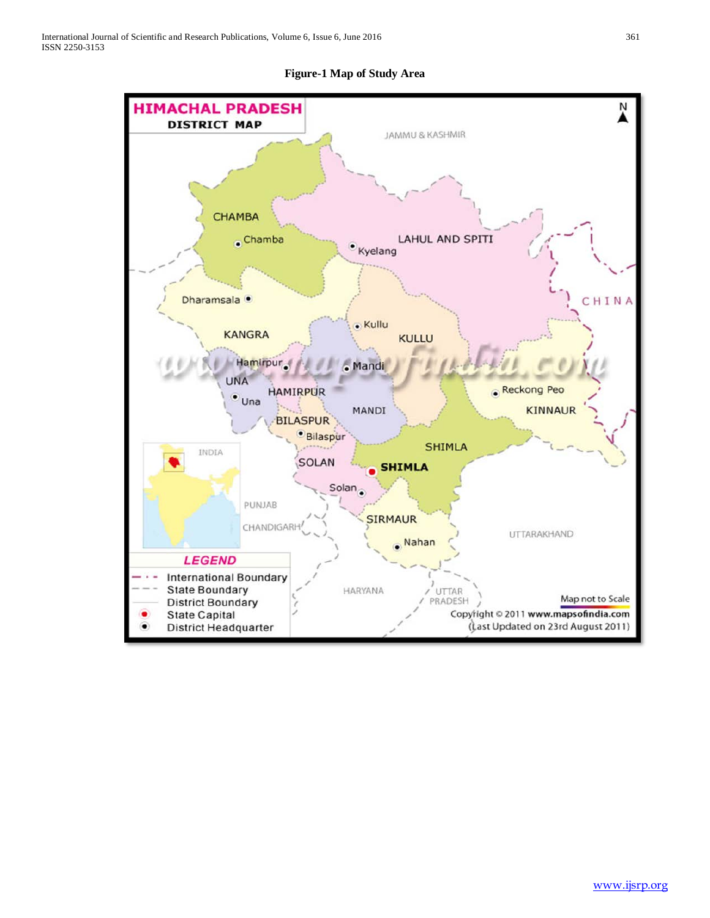**Figure-1 Map of Study Area**

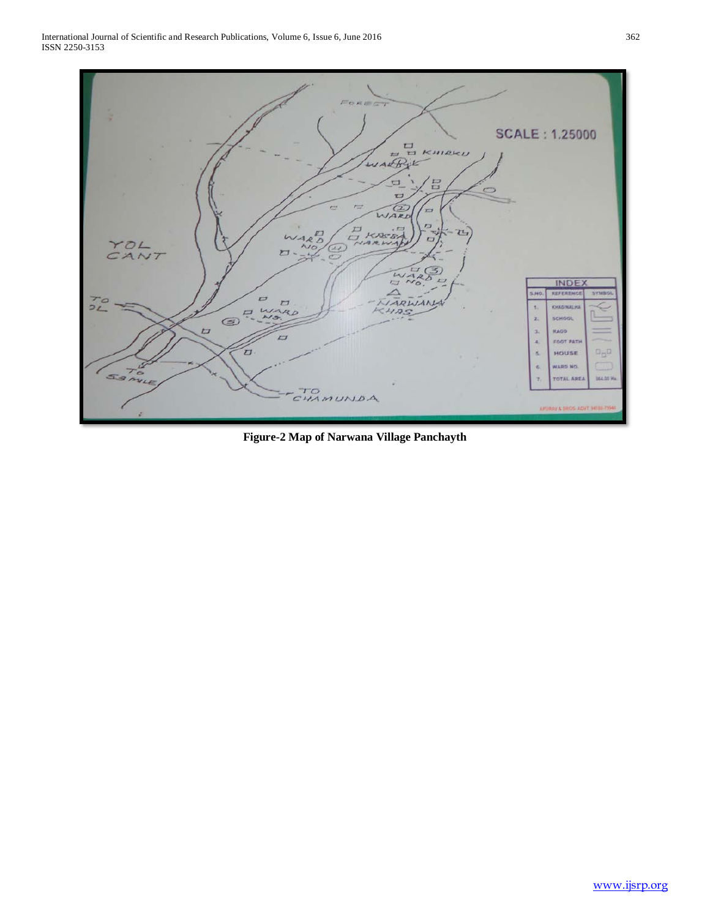

**Figure-2 Map of Narwana Village Panchayth**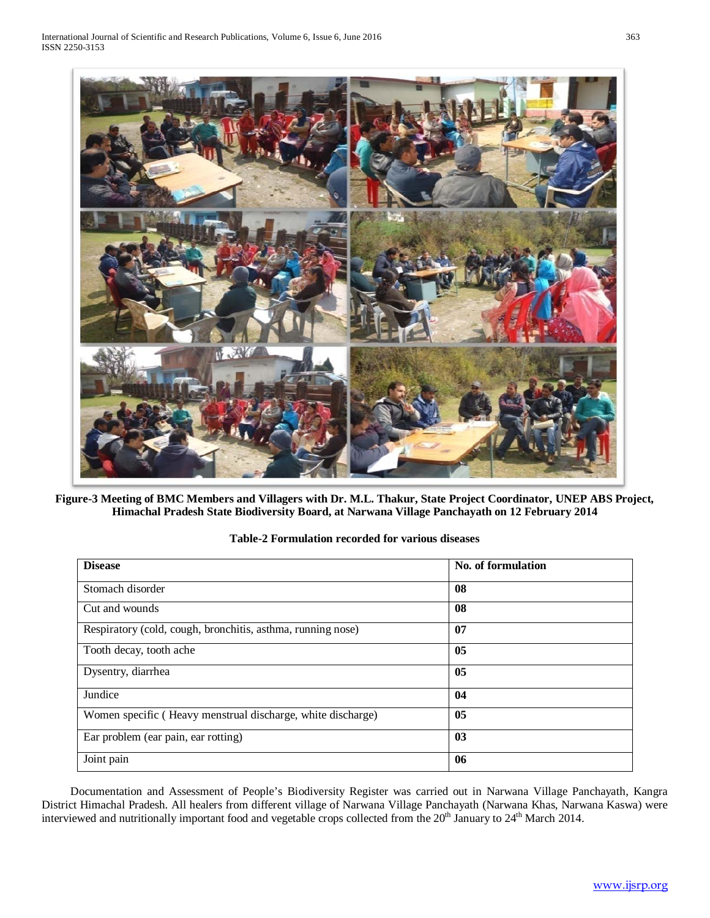

**Figure-3 Meeting of BMC Members and Villagers with Dr. M.L. Thakur, State Project Coordinator, UNEP ABS Project, Himachal Pradesh State Biodiversity Board, at Narwana Village Panchayath on 12 February 2014**

| Table-2 Formulation recorded for various diseases |  |  |  |
|---------------------------------------------------|--|--|--|
|---------------------------------------------------|--|--|--|

| <b>Disease</b>                                              | No. of formulation |
|-------------------------------------------------------------|--------------------|
| Stomach disorder                                            | 08                 |
| Cut and wounds                                              | 08                 |
| Respiratory (cold, cough, bronchitis, asthma, running nose) | 07                 |
| Tooth decay, tooth ache                                     | 05                 |
| Dysentry, diarrhea                                          | 05                 |
| Jundice                                                     | 04                 |
| Women specific (Heavy menstrual discharge, white discharge) | 05                 |
| Ear problem (ear pain, ear rotting)                         | 03                 |
| Joint pain                                                  | 06                 |

 Documentation and Assessment of People's Biodiversity Register was carried out in Narwana Village Panchayath, Kangra District Himachal Pradesh. All healers from different village of Narwana Village Panchayath (Narwana Khas, Narwana Kaswa) were interviewed and nutritionally important food and vegetable crops collected from the 20<sup>th</sup> January to 24<sup>th</sup> March 2014.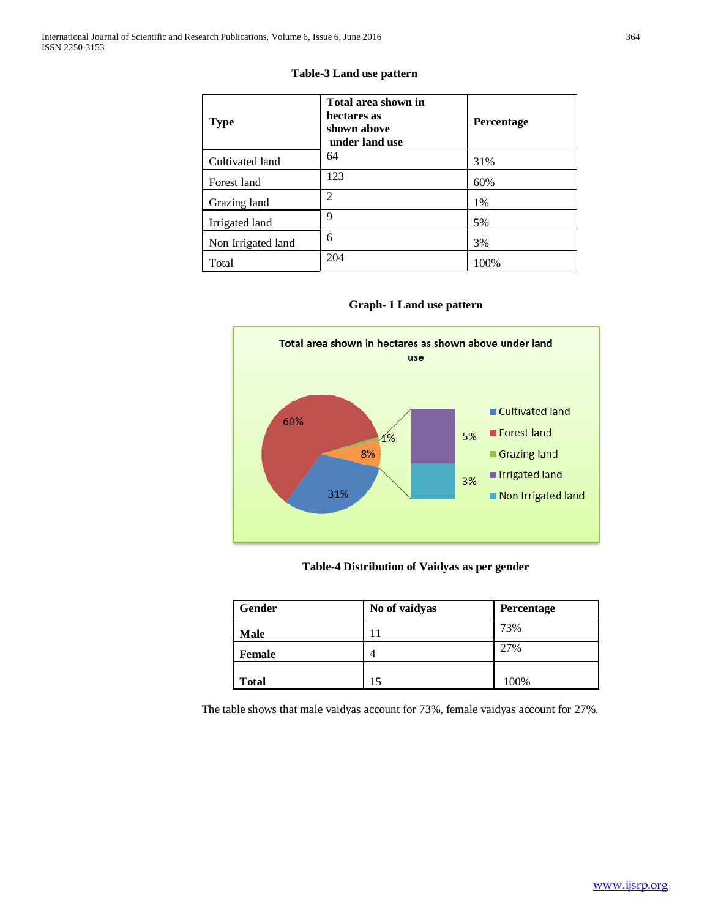|  | ï<br>٠<br>۰ |
|--|-------------|
|  | ×           |
|  | т           |
|  |             |

| <b>Table-3 Land use pattern</b> |  |  |  |
|---------------------------------|--|--|--|
|---------------------------------|--|--|--|

| <b>Type</b>        | Total area shown in<br>hectares as<br>shown above<br>under land use | <b>Percentage</b> |
|--------------------|---------------------------------------------------------------------|-------------------|
| Cultivated land    | 64                                                                  | 31%               |
| Forest land        | 123                                                                 | 60%               |
| Grazing land       | $\overline{2}$                                                      | 1%                |
| Irrigated land     | 9                                                                   | 5%                |
| Non Irrigated land | 6                                                                   | 3%                |
| Total              | 204                                                                 | 100%              |





# **Table-4 Distribution of Vaidyas as per gender**

| Gender        | No of vaidyas | Percentage |  |
|---------------|---------------|------------|--|
| <b>Male</b>   | 11            | 73%        |  |
| <b>Female</b> | 4             | 27%        |  |
| <b>Total</b>  |               | 100%       |  |

The table shows that male vaidyas account for 73%, female vaidyas account for 27%.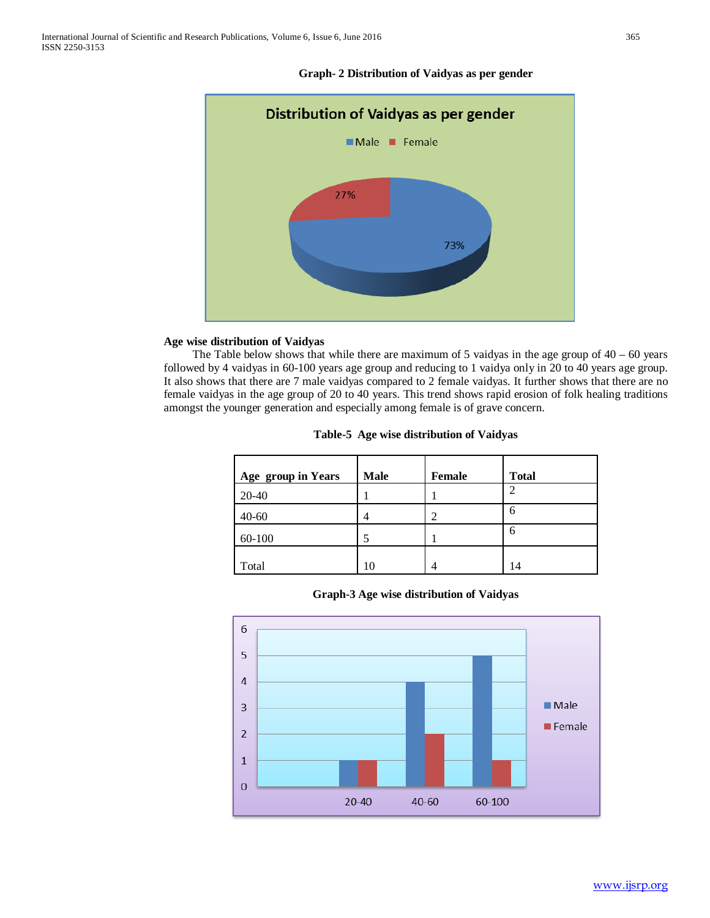

## **Graph- 2 Distribution of Vaidyas as per gender**

## **Age wise distribution of Vaidyas**

The Table below shows that while there are maximum of 5 vaidyas in the age group of  $40 - 60$  years followed by 4 vaidyas in 60-100 years age group and reducing to 1 vaidya only in 20 to 40 years age group. It also shows that there are 7 male vaidyas compared to 2 female vaidyas. It further shows that there are no female vaidyas in the age group of 20 to 40 years. This trend shows rapid erosion of folk healing traditions amongst the younger generation and especially among female is of grave concern.

| Age group in Years | <b>Male</b> | <b>Female</b> | <b>Total</b> |
|--------------------|-------------|---------------|--------------|
| 20-40              |             |               | ി            |
| $40 - 60$          |             |               | 6            |
| 60-100             |             |               | 6            |
| Total              | 10          |               | 14           |

|  | Table-5 Age wise distribution of Vaidyas |  |
|--|------------------------------------------|--|
|  |                                          |  |

**Graph-3 Age wise distribution of Vaidyas**

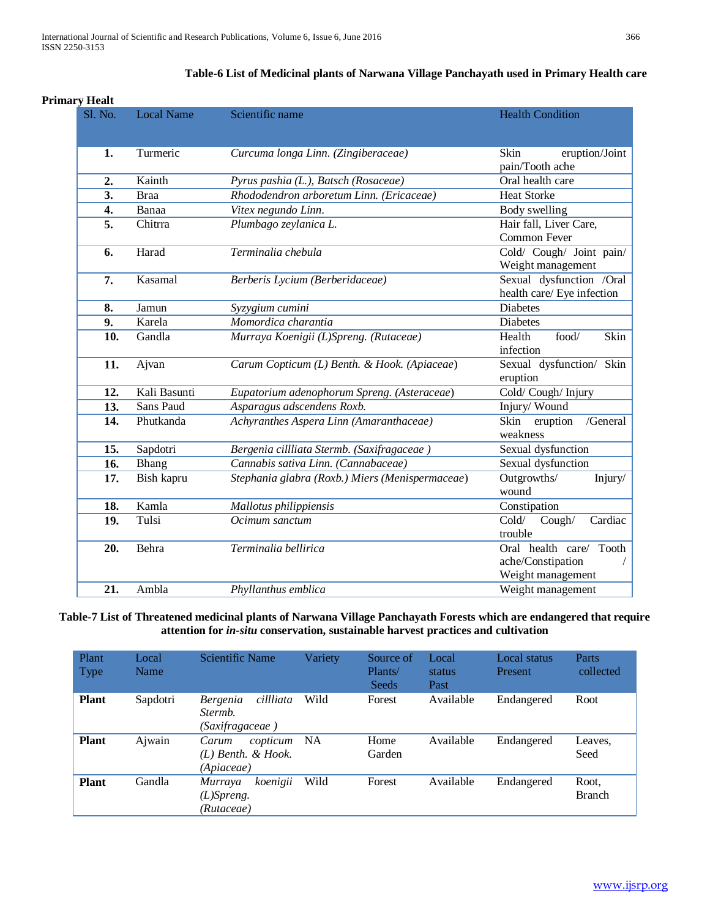|    | <b>Primary Healt</b> |                   |                                                 |                                                                                                               |  |  |
|----|----------------------|-------------------|-------------------------------------------------|---------------------------------------------------------------------------------------------------------------|--|--|
|    | Sl. No.              | <b>Local Name</b> | Scientific name                                 | <b>Health Condition</b>                                                                                       |  |  |
| 1. |                      | Turmeric          | Curcuma longa Linn. (Zingiberaceae)             | <b>Skin</b><br>eruption/Joint<br>pain/Tooth ache                                                              |  |  |
|    | 2.                   | Kainth            | Pyrus pashia (L.), Batsch (Rosaceae)            | Oral health care                                                                                              |  |  |
|    | 3.                   | <b>Braa</b>       | Rhododendron arboretum Linn. (Ericaceae)        | <b>Heat Storke</b>                                                                                            |  |  |
|    | 4.                   | Banaa             | Vitex negundo Linn.                             | Body swelling                                                                                                 |  |  |
|    | 5.                   | Chitrra           | Plumbago zeylanica L.                           | Hair fall, Liver Care,<br>Common Fever                                                                        |  |  |
|    | 6.                   | Harad             | Terminalia chebula                              | Cold/ Cough/ Joint pain/<br>Weight management                                                                 |  |  |
|    | 7.                   | Kasamal           | Berberis Lycium (Berberidaceae)                 | Sexual dysfunction /Oral<br>health care/ Eye infection                                                        |  |  |
|    | 8.                   | Jamun             | Syzygium cumini                                 | <b>Diabetes</b>                                                                                               |  |  |
|    | 9.                   | Karela            | Momordica charantia                             | <b>Diabetes</b>                                                                                               |  |  |
|    | 10.                  | Gandla            | Murraya Koenigii (L)Spreng. (Rutaceae)          | Skin<br>Health<br>food/<br>infection                                                                          |  |  |
|    | 11.                  | Ajvan             | Carum Copticum (L) Benth. & Hook. (Apiaceae)    | Sexual dysfunction/ Skin<br>eruption                                                                          |  |  |
|    | 12.                  | Kali Basunti      | Eupatorium adenophorum Spreng. (Asteraceae)     | Cold/Cough/Injury                                                                                             |  |  |
|    | 13.                  | Sans Paud         | Asparagus adscendens Roxb.                      | Injury/Wound                                                                                                  |  |  |
|    | 14.                  | Phutkanda         | Achyranthes Aspera Linn (Amaranthaceae)         | Skin<br>eruption<br>/General<br>weakness                                                                      |  |  |
|    | 15.                  | Sapdotri          | Bergenia cillliata Stermb. (Saxifragaceae)      | Sexual dysfunction                                                                                            |  |  |
|    | 16.                  | Bhang             | Cannabis sativa Linn. (Cannabaceae)             | Sexual dysfunction                                                                                            |  |  |
|    | 17.                  | Bish kapru        | Stephania glabra (Roxb.) Miers (Menispermaceae) | Outgrowths/<br>Injury/<br>wound                                                                               |  |  |
|    | 18.                  | Kamla             | Mallotus philippiensis                          | Constipation                                                                                                  |  |  |
|    | 19.                  | Tulsi             | Ocimum sanctum                                  | Cold/<br>Cough/<br>Cardiac<br>trouble<br>Oral health care/<br>Tooth<br>ache/Constipation<br>Weight management |  |  |
|    | 20.                  | Behra             | Terminalia bellirica                            |                                                                                                               |  |  |
|    | 21.                  | Ambla             | Phyllanthus emblica                             | Weight management                                                                                             |  |  |

# **Table-6 List of Medicinal plants of Narwana Village Panchayath used in Primary Health care**

# **Table-7 List of Threatened medicinal plants of Narwana Village Panchayath Forests which are endangered that require attention for** *in-situ* **conservation, sustainable harvest practices and cultivation**

| Plant<br>Type | Local<br>Name | Scientific Name                                            | Variety | Source of<br>Plants/<br>Seeds | Local<br>status<br>Past | Local status<br>Present | Parts<br>collected     |
|---------------|---------------|------------------------------------------------------------|---------|-------------------------------|-------------------------|-------------------------|------------------------|
| <b>Plant</b>  | Sapdotri      | cillliata<br><b>Bergenia</b><br>Stermb.<br>(Saxifragaceae) | Wild    | Forest                        | Available               | Endangered              | Root                   |
| <b>Plant</b>  | Ajwain        | copticum<br>Carum<br>$(L)$ Benth. & Hook.<br>(Apiaceae)    | NA      | Home<br>Garden                | Available               | Endangered              | Leaves.<br>Seed        |
| <b>Plant</b>  | Gandla        | koenigii<br><i>Murraya</i><br>$(L)$ Spreng.<br>(Rutaceae)  | Wild    | Forest                        | Available               | Endangered              | Root,<br><b>Branch</b> |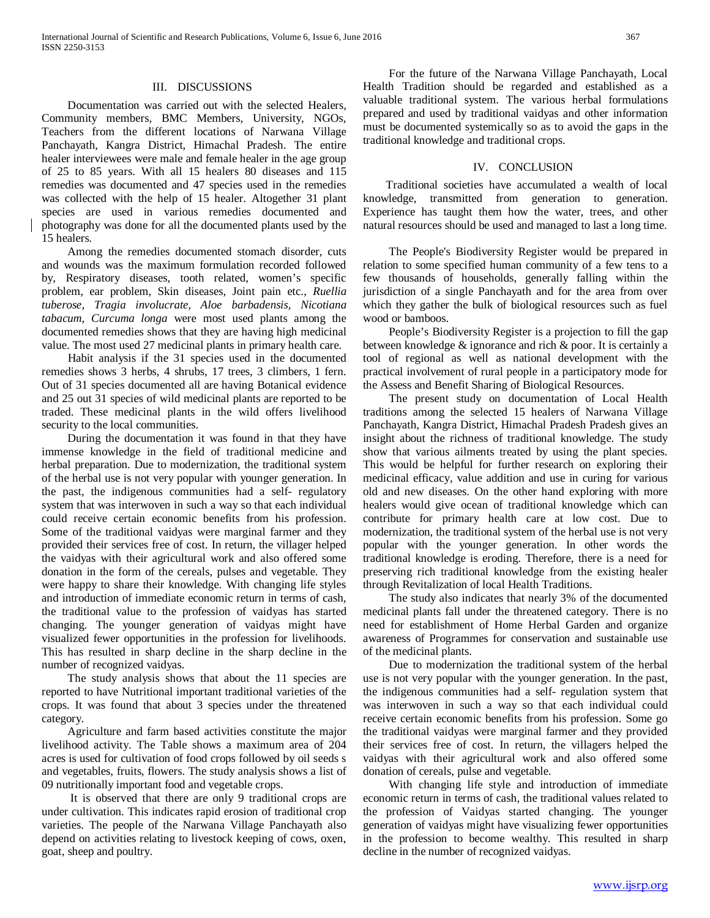## III. DISCUSSIONS

 Documentation was carried out with the selected Healers, Community members, BMC Members, University, NGOs, Teachers from the different locations of Narwana Village Panchayath, Kangra District, Himachal Pradesh. The entire healer interviewees were male and female healer in the age group of 25 to 85 years. With all 15 healers 80 diseases and 115 remedies was documented and 47 species used in the remedies was collected with the help of 15 healer. Altogether 31 plant species are used in various remedies documented and photography was done for all the documented plants used by the 15 healers.

 Among the remedies documented stomach disorder, cuts and wounds was the maximum formulation recorded followed by, Respiratory diseases, tooth related, women's specific problem, ear problem, Skin diseases, Joint pain etc., *Ruellia tuberose, Tragia involucrate, Aloe barbadensis, Nicotiana tabacum, Curcuma longa* were most used plants among the documented remedies shows that they are having high medicinal value. The most used 27 medicinal plants in primary health care.

 Habit analysis if the 31 species used in the documented remedies shows 3 herbs, 4 shrubs, 17 trees, 3 climbers, 1 fern. Out of 31 species documented all are having Botanical evidence and 25 out 31 species of wild medicinal plants are reported to be traded. These medicinal plants in the wild offers livelihood security to the local communities.

 During the documentation it was found in that they have immense knowledge in the field of traditional medicine and herbal preparation. Due to modernization, the traditional system of the herbal use is not very popular with younger generation. In the past, the indigenous communities had a self- regulatory system that was interwoven in such a way so that each individual could receive certain economic benefits from his profession. Some of the traditional vaidyas were marginal farmer and they provided their services free of cost. In return, the villager helped the vaidyas with their agricultural work and also offered some donation in the form of the cereals, pulses and vegetable. They were happy to share their knowledge. With changing life styles and introduction of immediate economic return in terms of cash, the traditional value to the profession of vaidyas has started changing. The younger generation of vaidyas might have visualized fewer opportunities in the profession for livelihoods. This has resulted in sharp decline in the sharp decline in the number of recognized vaidyas.

 The study analysis shows that about the 11 species are reported to have Nutritional important traditional varieties of the crops. It was found that about 3 species under the threatened category.

 Agriculture and farm based activities constitute the major livelihood activity. The Table shows a maximum area of 204 acres is used for cultivation of food crops followed by oil seeds s and vegetables, fruits, flowers. The study analysis shows a list of 09 nutritionally important food and vegetable crops.

 It is observed that there are only 9 traditional crops are under cultivation. This indicates rapid erosion of traditional crop varieties. The people of the Narwana Village Panchayath also depend on activities relating to livestock keeping of cows, oxen, goat, sheep and poultry.

 For the future of the Narwana Village Panchayath, Local Health Tradition should be regarded and established as a valuable traditional system. The various herbal formulations prepared and used by traditional vaidyas and other information must be documented systemically so as to avoid the gaps in the traditional knowledge and traditional crops.

### IV. CONCLUSION

 Traditional societies have accumulated a wealth of local knowledge, transmitted from generation to generation. Experience has taught them how the water, trees, and other natural resources should be used and managed to last a long time.

 The People's Biodiversity Register would be prepared in relation to some specified human community of a few tens to a few thousands of households, generally falling within the jurisdiction of a single Panchayath and for the area from over which they gather the bulk of biological resources such as fuel wood or bamboos.

 People's Biodiversity Register is a projection to fill the gap between knowledge & ignorance and rich & poor. It is certainly a tool of regional as well as national development with the practical involvement of rural people in a participatory mode for the Assess and Benefit Sharing of Biological Resources.

 The present study on documentation of Local Health traditions among the selected 15 healers of Narwana Village Panchayath, Kangra District, Himachal Pradesh Pradesh gives an insight about the richness of traditional knowledge. The study show that various ailments treated by using the plant species. This would be helpful for further research on exploring their medicinal efficacy, value addition and use in curing for various old and new diseases. On the other hand exploring with more healers would give ocean of traditional knowledge which can contribute for primary health care at low cost. Due to modernization, the traditional system of the herbal use is not very popular with the younger generation. In other words the traditional knowledge is eroding. Therefore, there is a need for preserving rich traditional knowledge from the existing healer through Revitalization of local Health Traditions.

 The study also indicates that nearly 3% of the documented medicinal plants fall under the threatened category. There is no need for establishment of Home Herbal Garden and organize awareness of Programmes for conservation and sustainable use of the medicinal plants.

 Due to modernization the traditional system of the herbal use is not very popular with the younger generation. In the past, the indigenous communities had a self- regulation system that was interwoven in such a way so that each individual could receive certain economic benefits from his profession. Some go the traditional vaidyas were marginal farmer and they provided their services free of cost. In return, the villagers helped the vaidyas with their agricultural work and also offered some donation of cereals, pulse and vegetable.

 With changing life style and introduction of immediate economic return in terms of cash, the traditional values related to the profession of Vaidyas started changing. The younger generation of vaidyas might have visualizing fewer opportunities in the profession to become wealthy. This resulted in sharp decline in the number of recognized vaidyas.